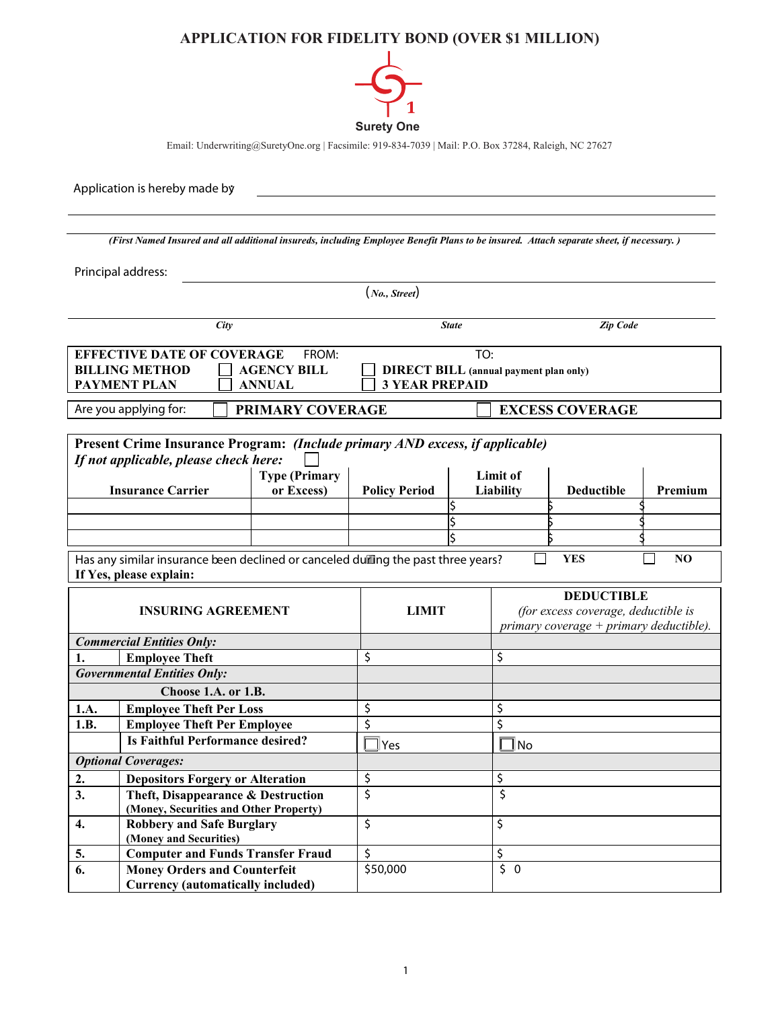## **APPLICATION FOR FIDELITY BOND (OVER \$1 MILLION)**



Email: Underwriting@SuretyOne.org | Facsimile: 919-834-7039 | Mail: P.O. Box 37284, Raleigh, NC 27627

Application is hereby made by: *(First Named Insured and all additional insureds, including Employee Benefit Plans to be insured. Attach separate sheet, if necessary. )*  Principal address: (*No., Street*) *Zip Code Zip Code Zip Code* **EFFECTIVE DATE OF COVERAGE FROM: TO: BILLING METHOD**  $\qquad \qquad$  **AGENCY BILL**  $\qquad \qquad$  **DIRECT BILL (annual payment plan only) PAYMENT PLAN ANNUAL 3 YEAR PREPAID** Are you applying for:  $\Box$  **PRIMARY COVERAGE**  $\Box$  **EXCESS COVERAGE Present Crime Insurance Program:** *(Include primary AND excess, if applicable) If not applicable, please check here:*  **Insurance Carrier Type (Primary or Excess) Policy Period Limit of**  Liability | Deductible | Premium \$ \$ \$ \$ \$ \$ \$ \$ \$ Has any similar insurance been declined or canceled during the past three years?  $\Box$  **YES**  $\Box$  **NO If Yes, please explain: INSURING AGREEMENT LIMIT DEDUCTIBLE** *(for excess coverage, deductible is primary coverage + primary deductible). Commercial Entities Only:* **1.** Employee Theft **b**  $\begin{bmatrix} \xi \\ \zeta \end{bmatrix}$ *Governmental Entities Only:* **Choose 1.A. or 1.B. 1.A. Employee Theft Per Loss** \$ \$ **1.B.** Employee Theft Per Employee **b** \$ **Is Faithful Performance desired?**  $\Box$  Yes  $\Box$  No *Optional Coverages:* **2. Depositors Forgery or Alteration \$** \$ **3. Theft, Disappearance & Destruction (Money, Securities and Other Property)** \$ \$ **4. Robbery and Safe Burglary (Money and Securities)**  $\mathsf{\$}$   $\vert \mathsf{\$}$ **5. Computer and Funds Transfer Fraud** \$ \$ **6. Money Orders and Counterfeit Currency (automatically included)**   $$50,000$   $$0$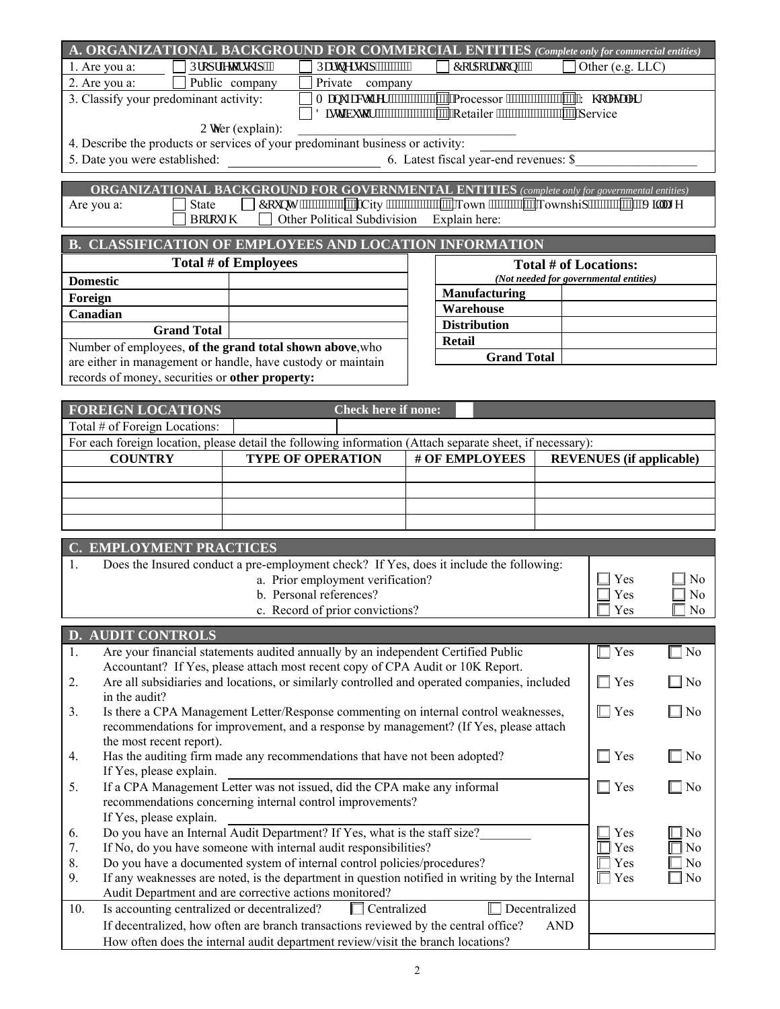|                                                                                                                                                          |                          |                      | A. ORGANIZATIONAL BACKGROUND FOR COMMERCIAL ENTITIES (Complete only for commercial entities)                                                                            |  |                     |            |                                        |                                  |
|----------------------------------------------------------------------------------------------------------------------------------------------------------|--------------------------|----------------------|-------------------------------------------------------------------------------------------------------------------------------------------------------------------------|--|---------------------|------------|----------------------------------------|----------------------------------|
| 1. Are you a:                                                                                                                                            |                          | Rtqr tkgyqtuj kr ""  | Rctypgtuj k """"""""""                                                                                                                                                  |  | Eqtrqtcwqp""""      |            | Other (e.g. LLC)                       |                                  |
| 2. Are you a:                                                                                                                                            |                          | Public company       | Private company                                                                                                                                                         |  |                     |            |                                        |                                  |
| 3. Classify your predominant activity:                                                                                                                   |                          |                      |                                                                                                                                                                         |  |                     |            |                                        |                                  |
|                                                                                                                                                          |                          |                      |                                                                                                                                                                         |  |                     |            |                                        |                                  |
|                                                                                                                                                          |                          | Qwher (explain):     |                                                                                                                                                                         |  |                     |            |                                        |                                  |
|                                                                                                                                                          |                          |                      | 4. Describe the products or services of your predominant business or activity:                                                                                          |  |                     |            |                                        |                                  |
| 5. Date you were established:                                                                                                                            |                          |                      | 6. Latest fiscal year-end revenues: \$                                                                                                                                  |  |                     |            |                                        |                                  |
|                                                                                                                                                          |                          |                      |                                                                                                                                                                         |  |                     |            |                                        |                                  |
| Are you a:                                                                                                                                               |                          |                      | ORGANIZATIONAL BACKGROUND FOR GOVERNMENTAL ENTITIES (complete only for governmental entities)<br>you a: State Equipm Equipm City "Town Town Townshir "Townshir" "Xkm: g |  |                     |            |                                        |                                  |
|                                                                                                                                                          | Bqtqwi j                 |                      | Other Political Subdivision Explain here:                                                                                                                               |  |                     |            |                                        |                                  |
|                                                                                                                                                          |                          |                      |                                                                                                                                                                         |  |                     |            |                                        |                                  |
|                                                                                                                                                          |                          |                      | <b>B. CLASSIFICATION OF EMPLOYEES AND LOCATION INFORMATION</b>                                                                                                          |  |                     |            |                                        |                                  |
|                                                                                                                                                          |                          | Total # of Employees |                                                                                                                                                                         |  |                     |            | <b>Total # of Locations:</b>           |                                  |
| <b>Domestic</b>                                                                                                                                          |                          |                      |                                                                                                                                                                         |  |                     |            | (Not needed for governmental entities) |                                  |
| Foreign                                                                                                                                                  |                          |                      |                                                                                                                                                                         |  | Manufacturing       |            |                                        |                                  |
| Canadian                                                                                                                                                 |                          |                      |                                                                                                                                                                         |  | Warehouse           |            |                                        |                                  |
|                                                                                                                                                          | <b>Grand Total</b>       |                      |                                                                                                                                                                         |  | <b>Distribution</b> |            |                                        |                                  |
|                                                                                                                                                          |                          |                      | Number of employees, of the grand total shown above, who                                                                                                                |  | <b>Retail</b>       |            |                                        |                                  |
|                                                                                                                                                          |                          |                      | are either in management or handle, have custody or maintain                                                                                                            |  | <b>Grand Total</b>  |            |                                        |                                  |
| records of money, securities or other property:                                                                                                          |                          |                      |                                                                                                                                                                         |  |                     |            |                                        |                                  |
|                                                                                                                                                          |                          |                      |                                                                                                                                                                         |  |                     |            |                                        |                                  |
| <b>FOREIGN LOCATIONS</b>                                                                                                                                 |                          |                      | <b>Check here if none:</b>                                                                                                                                              |  |                     |            |                                        |                                  |
| Total # of Foreign Locations:                                                                                                                            |                          |                      |                                                                                                                                                                         |  |                     |            |                                        |                                  |
|                                                                                                                                                          |                          |                      | For each foreign location, please detail the following information (Attach separate sheet, if necessary):                                                               |  |                     |            |                                        |                                  |
| <b>COUNTRY</b>                                                                                                                                           |                          |                      | <b>TYPE OF OPERATION</b>                                                                                                                                                |  | # OF EMPLOYEES      |            | <b>REVENUES</b> (if applicable)        |                                  |
|                                                                                                                                                          |                          |                      |                                                                                                                                                                         |  |                     |            |                                        |                                  |
|                                                                                                                                                          |                          |                      |                                                                                                                                                                         |  |                     |            |                                        |                                  |
|                                                                                                                                                          |                          |                      |                                                                                                                                                                         |  |                     |            |                                        |                                  |
|                                                                                                                                                          |                          |                      |                                                                                                                                                                         |  |                     |            |                                        |                                  |
|                                                                                                                                                          |                          |                      |                                                                                                                                                                         |  |                     |            |                                        |                                  |
| <b>C. EMPLOYMENT PRACTICES</b>                                                                                                                           |                          |                      |                                                                                                                                                                         |  |                     |            |                                        |                                  |
| 1.                                                                                                                                                       |                          |                      | Does the Insured conduct a pre-employment check? If Yes, does it include the following:                                                                                 |  |                     |            |                                        |                                  |
|                                                                                                                                                          |                          |                      | a. Prior employment verification?<br>b. Personal references?                                                                                                            |  |                     |            | Yes                                    | N <sub>0</sub><br>N <sub>o</sub> |
|                                                                                                                                                          |                          |                      | c. Record of prior convictions?                                                                                                                                         |  |                     |            | Yes<br>Yes                             | N <sub>0</sub>                   |
|                                                                                                                                                          |                          |                      |                                                                                                                                                                         |  |                     |            |                                        |                                  |
| <b>D. AUDIT CONTROLS</b>                                                                                                                                 |                          |                      |                                                                                                                                                                         |  |                     |            |                                        |                                  |
| 1.                                                                                                                                                       |                          |                      | Are your financial statements audited annually by an independent Certified Public                                                                                       |  |                     |            | $\Box$ Yes                             | ∃ No                             |
|                                                                                                                                                          |                          |                      | Accountant? If Yes, please attach most recent copy of CPA Audit or 10K Report.                                                                                          |  |                     |            |                                        |                                  |
| 2.                                                                                                                                                       |                          |                      | Are all subsidiaries and locations, or similarly controlled and operated companies, included                                                                            |  |                     |            | $\Box$ Yes                             | $\square$ No                     |
| in the audit?                                                                                                                                            |                          |                      |                                                                                                                                                                         |  |                     |            |                                        |                                  |
| 3.                                                                                                                                                       |                          |                      | Is there a CPA Management Letter/Response commenting on internal control weaknesses,                                                                                    |  |                     |            | $\Box$ Yes                             | $\square$ No                     |
|                                                                                                                                                          |                          |                      | recommendations for improvement, and a response by management? (If Yes, please attach                                                                                   |  |                     |            |                                        |                                  |
|                                                                                                                                                          | the most recent report). |                      |                                                                                                                                                                         |  |                     |            |                                        |                                  |
| 4.                                                                                                                                                       | If Yes, please explain.  |                      | Has the auditing firm made any recommendations that have not been adopted?                                                                                              |  |                     |            | $\Box$ Yes                             | $\square$ No                     |
| 5.                                                                                                                                                       |                          |                      | If a CPA Management Letter was not issued, did the CPA make any informal                                                                                                |  |                     |            | $\Box$ Yes                             | $\square$ No                     |
|                                                                                                                                                          |                          |                      | recommendations concerning internal control improvements?                                                                                                               |  |                     |            |                                        |                                  |
|                                                                                                                                                          | If Yes, please explain.  |                      |                                                                                                                                                                         |  |                     |            |                                        |                                  |
| 6.                                                                                                                                                       |                          |                      | Do you have an Internal Audit Department? If Yes, what is the staff size?                                                                                               |  |                     |            | Yes                                    | No                               |
| 7.                                                                                                                                                       |                          |                      | If No, do you have someone with internal audit responsibilities?                                                                                                        |  |                     |            | l Yes                                  | N <sub>0</sub>                   |
| 8.                                                                                                                                                       |                          |                      | Do you have a documented system of internal control policies/procedures?                                                                                                |  |                     |            | Yes                                    | N <sub>0</sub>                   |
| 9.                                                                                                                                                       |                          |                      |                                                                                                                                                                         |  |                     |            | Yes                                    | No                               |
| If any weaknesses are noted, is the department in question notified in writing by the Internal<br>Audit Department and are corrective actions monitored? |                          |                      |                                                                                                                                                                         |  |                     |            |                                        |                                  |
| Decentralized<br>Is accounting centralized or decentralized?<br>Centralized<br>10.                                                                       |                          |                      |                                                                                                                                                                         |  |                     |            |                                        |                                  |
|                                                                                                                                                          |                          |                      | If decentralized, how often are branch transactions reviewed by the central office?                                                                                     |  |                     | <b>AND</b> |                                        |                                  |
|                                                                                                                                                          |                          |                      | How often does the internal audit department review/visit the branch locations?                                                                                         |  |                     |            |                                        |                                  |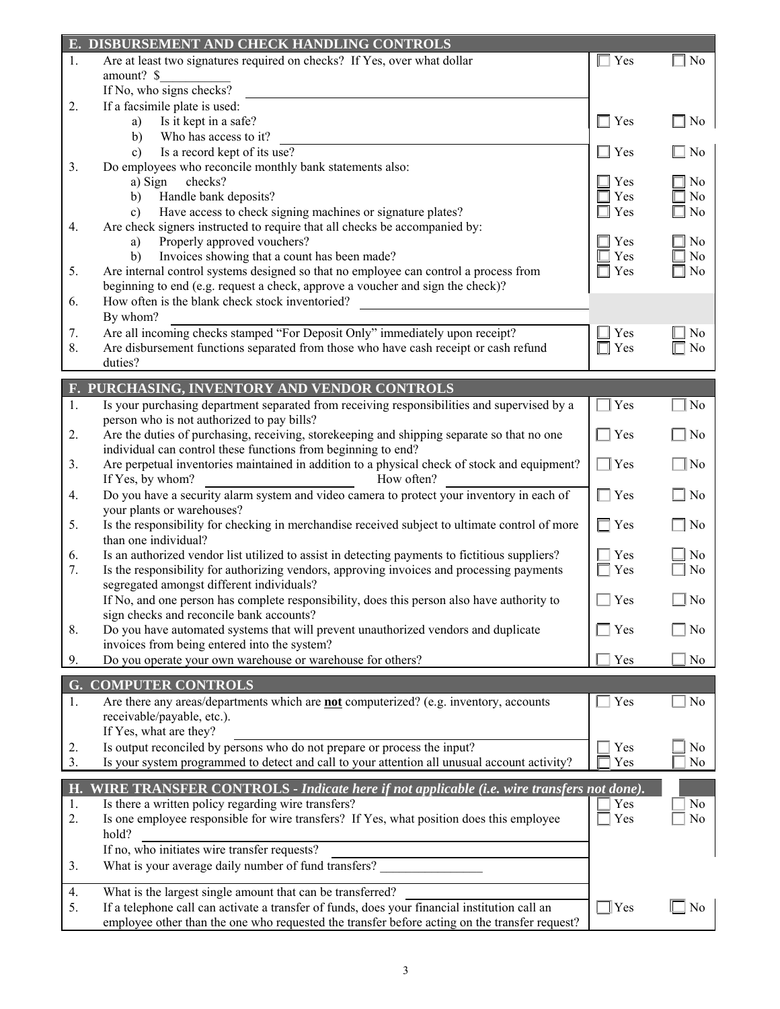|          | E. DISBURSEMENT AND CHECK HANDLING CONTROLS                                                       |            |                |
|----------|---------------------------------------------------------------------------------------------------|------------|----------------|
| 1.       | Are at least two signatures required on checks? If Yes, over what dollar                          | $\Box$ Yes | $\Box$ No      |
|          | amount? \$                                                                                        |            |                |
|          | If No, who signs checks?                                                                          |            |                |
| 2.       | If a facsimile plate is used:                                                                     |            |                |
|          | Is it kept in a safe?<br>a)                                                                       | $\Box$ Yes | $\Box$ No      |
|          | Who has access to it?<br>b)                                                                       |            |                |
|          | Is a record kept of its use?<br>$\mathbf{c}$                                                      | $\Box$ Yes | $\square$ No   |
| 3.       | Do employees who reconcile monthly bank statements also:                                          |            |                |
|          | a) Sign<br>checks?                                                                                | Yes        | $\Box$ No      |
|          | Handle bank deposits?<br>b)                                                                       | Yes        | N <sub>0</sub> |
|          | Have access to check signing machines or signature plates?<br>c)                                  | Yes        | N <sub>0</sub> |
| 4.       | Are check signers instructed to require that all checks be accompanied by:                        |            |                |
|          | Properly approved vouchers?<br>a)                                                                 | Yes        | $\exists$ No   |
|          | Invoices showing that a count has been made?<br>b)                                                | Yes        | No             |
| 5.       | Are internal control systems designed so that no employee can control a process from              | Yes        | N <sub>0</sub> |
|          | beginning to end (e.g. request a check, approve a voucher and sign the check)?                    |            |                |
| 6.       | How often is the blank check stock inventoried?                                                   |            |                |
|          | By whom?                                                                                          |            |                |
| 7.       | Are all incoming checks stamped "For Deposit Only" immediately upon receipt?                      | Yes        | No             |
| 8.       | Are disbursement functions separated from those who have cash receipt or cash refund              | Yes        | N <sub>0</sub> |
|          | duties?                                                                                           |            |                |
|          | F. PURCHASING, INVENTORY AND VENDOR CONTROLS                                                      |            |                |
| 1.       | Is your purchasing department separated from receiving responsibilities and supervised by a       | ∣Yes       | No             |
|          | person who is not authorized to pay bills?                                                        |            |                |
| 2.       | Are the duties of purchasing, receiving, storekeeping and shipping separate so that no one        | $\Box$ Yes | N <sub>o</sub> |
|          | individual can control these functions from beginning to end?                                     |            |                |
| 3.       | Are perpetual inventories maintained in addition to a physical check of stock and equipment?      | $\Box$ Yes | $\Box$ No      |
|          | If Yes, by whom?<br>How often?                                                                    |            |                |
| 4.       | Do you have a security alarm system and video camera to protect your inventory in each of         | $\Box$ Yes | $\Box$ No      |
|          | your plants or warehouses?                                                                        |            |                |
| 5.       | Is the responsibility for checking in merchandise received subject to ultimate control of more    | $\Box$ Yes | $\Box$ No      |
|          | than one individual?                                                                              |            |                |
| 6.       | Is an authorized vendor list utilized to assist in detecting payments to fictitious suppliers?    | Yes        | No             |
| 7.       | Is the responsibility for authorizing vendors, approving invoices and processing payments         | Yes        | N <sub>o</sub> |
|          | segregated amongst different individuals?                                                         |            |                |
|          | If No, and one person has complete responsibility, does this person also have authority to        | Yes        | N <sub>0</sub> |
|          | sign checks and reconcile bank accounts?                                                          |            |                |
| 8.       | Do you have automated systems that will prevent unauthorized vendors and duplicate                | Yes        | No             |
|          | invoices from being entered into the system?                                                      |            |                |
| 9.       | Do you operate your own warehouse or warehouse for others?                                        | Yes        | No             |
|          | <b>G. COMPUTER CONTROLS</b>                                                                       |            |                |
| 1.       | Are there any areas/departments which are <b>not</b> computerized? (e.g. inventory, accounts      | Yes        | N <sub>0</sub> |
|          | receivable/payable, etc.).                                                                        |            |                |
|          | If Yes, what are they?                                                                            |            |                |
| 2.       | Is output reconciled by persons who do not prepare or process the input?                          | Yes        | N <sub>0</sub> |
| 3.       | Is your system programmed to detect and call to your attention all unusual account activity?      | Yes        | No             |
|          |                                                                                                   |            |                |
| H.       | WIRE TRANSFER CONTROLS - Indicate here if not applicable (i.e. wire transfers not done)           |            |                |
| 1.<br>2. | Is there a written policy regarding wire transfers?                                               | Yes<br>Yes | No<br>No       |
|          | Is one employee responsible for wire transfers? If Yes, what position does this employee<br>hold? |            |                |
|          |                                                                                                   |            |                |
|          | If no, who initiates wire transfer requests?                                                      |            |                |
| 3.       | What is your average daily number of fund transfers?                                              |            |                |
| 4.       | What is the largest single amount that can be transferred?                                        |            |                |
| 5.       | If a telephone call can activate a transfer of funds, does your financial institution call an     | $\Box$ Yes | $\square$ No   |
|          | employee other than the one who requested the transfer before acting on the transfer request?     |            |                |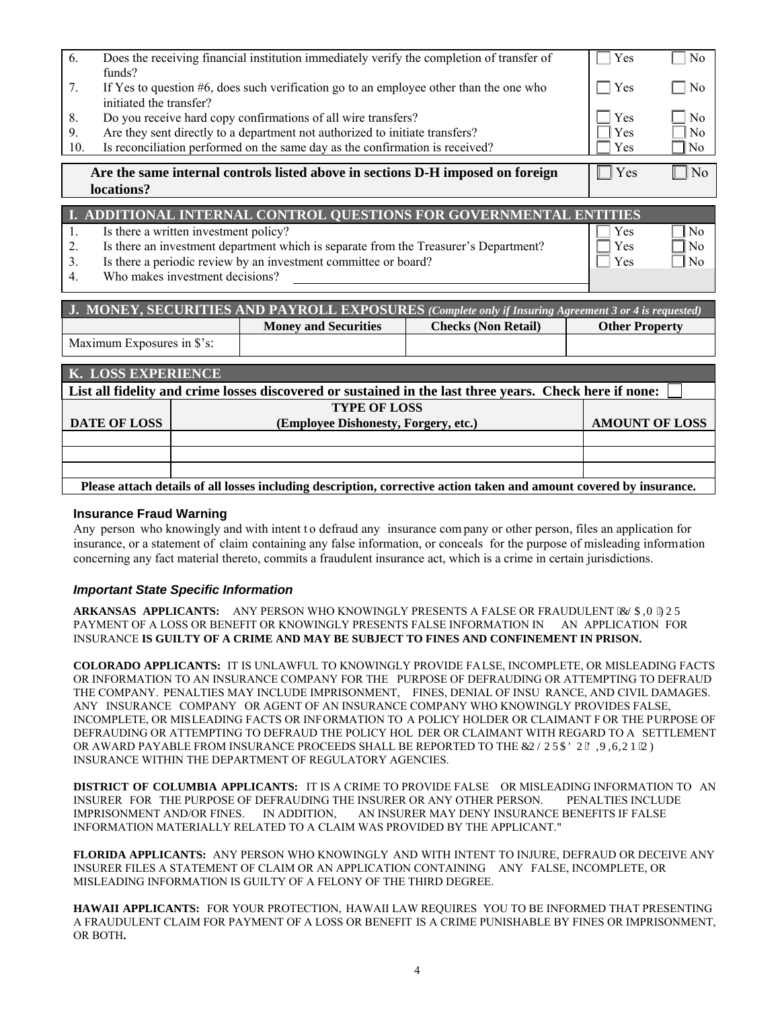| 6.  | Does the receiving financial institution immediately verify the completion of transfer of<br>funds?               | Yes | N <sub>0</sub>  |  |
|-----|-------------------------------------------------------------------------------------------------------------------|-----|-----------------|--|
| 7.  | If Yes to question #6, does such verification go to an employee other than the one who<br>initiated the transfer? | Yes | N <sub>0</sub>  |  |
| 8.  | Do you receive hard copy confirmations of all wire transfers?                                                     | Yes | $\rm N_{0}$     |  |
| 9.  | Are they sent directly to a department not authorized to initiate transfers?                                      | Yes | N <sub>0</sub>  |  |
| 10. | Is reconciliation performed on the same day as the confirmation is received?                                      | Yes | $\mathbb{I}$ No |  |
|     | Are the same internal controls listed above in sections D-H imposed on foreign<br>locations?                      | Yes | $\overline{N}$  |  |
|     |                                                                                                                   |     |                 |  |
|     | I. ADDITIONAL INTERNAL CONTROL QUESTIONS FOR GOVERNMENTAL ENTITIES                                                |     |                 |  |

| Is there a written investment policy?                                                | Yes           | No           |
|--------------------------------------------------------------------------------------|---------------|--------------|
| Is there an investment department which is separate from the Treasurer's Department? | $\Box$ Yes    | $\Box$ No    |
| Is there a periodic review by an investment committee or board?                      | $\exists$ Yes | $\exists$ No |
| Who makes investment decisions?                                                      |               |              |

| <b>J. MONEY, SECURITIES AND PAYROLL EXPOSURES</b> (Complete only if Insuring Agreement 3 or 4 is requested) |                             |                            |                       |  |
|-------------------------------------------------------------------------------------------------------------|-----------------------------|----------------------------|-----------------------|--|
|                                                                                                             | <b>Money and Securities</b> | <b>Checks (Non Retail)</b> | <b>Other Property</b> |  |
| Maximum Exposures in \$'s:                                                                                  |                             |                            |                       |  |

| K. LOSS EXPERIENCE                                                                                                  |                                      |                       |  |  |
|---------------------------------------------------------------------------------------------------------------------|--------------------------------------|-----------------------|--|--|
| List all fidelity and crime losses discovered or sustained in the last three years. Check here if none:             |                                      |                       |  |  |
|                                                                                                                     | <b>TYPE OF LOSS</b>                  |                       |  |  |
| <b>DATE OF LOSS</b>                                                                                                 | (Employee Dishonesty, Forgery, etc.) | <b>AMOUNT OF LOSS</b> |  |  |
|                                                                                                                     |                                      |                       |  |  |
|                                                                                                                     |                                      |                       |  |  |
|                                                                                                                     |                                      |                       |  |  |
| Please attach details of all losses including description, corrective action taken and amount covered by insurance. |                                      |                       |  |  |

## **Insurance Fraud Warning**

Any person who knowingly and with intent to defraud any insurance company or other person, files an application for insurance, or a statement of claim containing any false information, or conceals for the purpose of misleading information concerning any fact material thereto, commits a fraudulent insurance act, which is a crime in certain jurisdictions.

## *Important State Specific Information*

ARKANSAS APPLICANTS: ANY PERSON WHO KNOWINGLY PRESENTS A FALSE OR FRAUDULENT 'ENCIO'HOT PAYMENT OF A LOSS OR BENEFIT OR KNOWINGLY PRESENTS FALSE INFORMATION IN AN APPLICATION FOR INSURANCE **IS GUILTY OF A CRIME AND MAY BE SUBJECT TO FINES AND CONFINEMENT IN PRISON.** 

**COLORADO APPLICANTS:** IT IS UNLAWFUL TO KNOWINGLY PROVIDE FALSE, INCOMPLETE, OR MISLEADING FACTS OR INFORMATION TO AN INSURANCE COMPANY FOR THE PURPOSE OF DEFRAUDING OR ATTEMPTING TO DEFRAUD THE COMPANY. PENALTIES MAY INCLUDE IMPRISONMENT, FINES, DENIAL OF INSU RANCE, AND CIVIL DAMAGES. ANY INSURANCE COMPANY OR AGENT OF AN INSURANCE COMPANY WHO KNOWINGLY PROVIDES FALSE, INCOMPLETE, OR MISLEADING FACTS OR INFORMATION TO A POLICY HOLDER OR CLAIMANT F OR THE PURPOSE OF DEFRAUDING OR ATTEMPTING TO DEFRAUD THE POLICY HOL DER OR CLAIMANT WITH REGARD TO A SETTLEMENT OR AWARD PAYABLE FROM INSURANCE PROCEEDS SHALL BE REPORTED TO THE EONOTCF O'F KXKJKOP "OH INSURANCE WITHIN THE DEPARTMENT OF REGULATORY AGENCIES.

**DISTRICT OF COLUMBIA APPLICANTS:** IT IS A CRIME TO PROVIDE FALSE OR MISLEADING INFORMATION TO AN INSURER FOR THE PURPOSE OF DEFRAUDING THE INSURER OR ANY OTHER PERSON. PENALTIES INCLUDE IMPRISONMENT AND/OR FINES. IN ADDITION, AN INSURER MAY DENY INSURANCE BENEFITS IF FALSE INFORMATION MATERIALLY RELATED TO A CLAIM WAS PROVIDED BY THE APPLICANT."

**FLORIDA APPLICANTS:** ANY PERSON WHO KNOWINGLY AND WITH INTENT TO INJURE, DEFRAUD OR DECEIVE ANY INSURER FILES A STATEMENT OF CLAIM OR AN APPLICATION CONTAINING ANY FALSE, INCOMPLETE, OR MISLEADING INFORMATION IS GUILTY OF A FELONY OF THE THIRD DEGREE.

**HAWAII APPLICANTS:** FOR YOUR PROTECTION, HAWAII LAW REQUIRES YOU TO BE INFORMED THAT PRESENTING A FRAUDULENT CLAIM FOR PAYMENT OF A LOSS OR BENEFIT IS A CRIME PUNISHABLE BY FINES OR IMPRISONMENT, OR BOTH**.**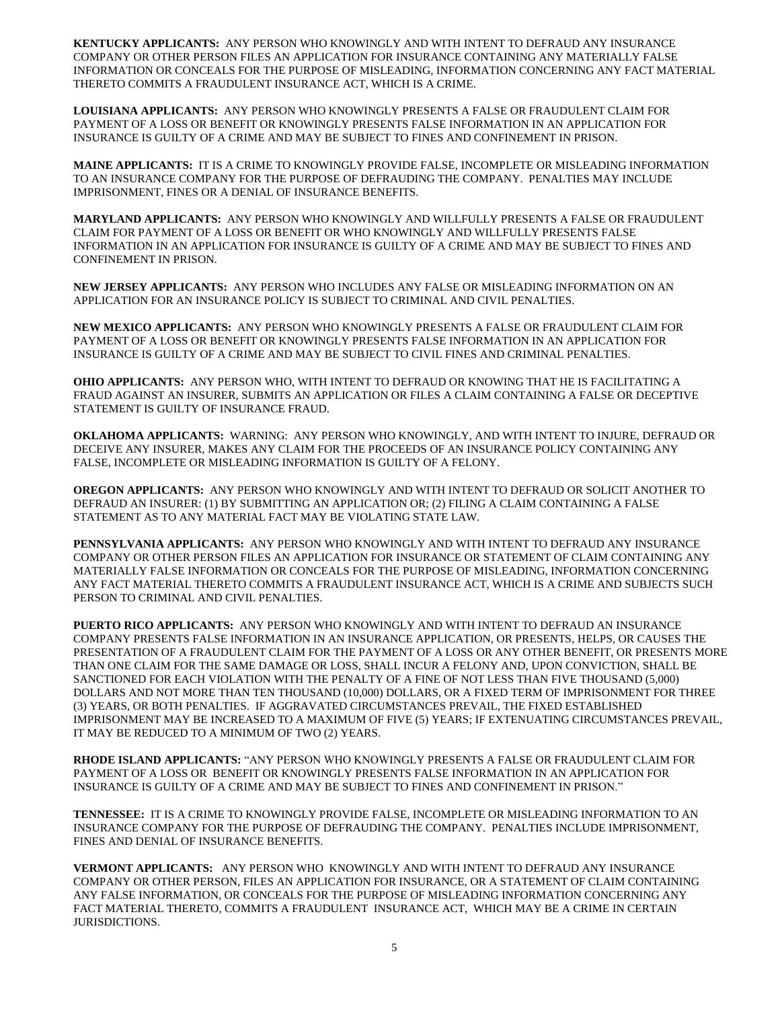**KENTUCKY APPLICANTS:** ANY PERSON WHO KNOWINGLY AND WITH INTENT TO DEFRAUD ANY INSURANCE COMPANY OR OTHER PERSON FILES AN APPLICATION FOR INSURANCE CONTAINING ANY MATERIALLY FALSE INFORMATION OR CONCEALS FOR THE PURPOSE OF MISLEADING, INFORMATION CONCERNING ANY FACT MATERIAL THERETO COMMITS A FRAUDULENT INSURANCE ACT, WHICH IS A CRIME.

**LOUISIANA APPLICANTS:** ANY PERSON WHO KNOWINGLY PRESENTS A FALSE OR FRAUDULENT CLAIM FOR PAYMENT OF A LOSS OR BENEFIT OR KNOWINGLY PRESENTS FALSE INFORMATION IN AN APPLICATION FOR INSURANCE IS GUILTY OF A CRIME AND MAY BE SUBJECT TO FINES AND CONFINEMENT IN PRISON.

**MAINE APPLICANTS:** IT IS A CRIME TO KNOWINGLY PROVIDE FALSE, INCOMPLETE OR MISLEADING INFORMATION TO AN INSURANCE COMPANY FOR THE PURPOSE OF DEFRAUDING THE COMPANY. PENALTIES MAY INCLUDE IMPRISONMENT, FINES OR A DENIAL OF INSURANCE BENEFITS.

**MARYLAND APPLICANTS:** ANY PERSON WHO KNOWINGLY AND WILLFULLY PRESENTS A FALSE OR FRAUDULENT CLAIM FOR PAYMENT OF A LOSS OR BENEFIT OR WHO KNOWINGLY AND WILLFULLY PRESENTS FALSE INFORMATION IN AN APPLICATION FOR INSURANCE IS GUILTY OF A CRIME AND MAY BE SUBJECT TO FINES AND CONFINEMENT IN PRISON.

**NEW JERSEY APPLICANTS:** ANY PERSON WHO INCLUDES ANY FALSE OR MISLEADING INFORMATION ON AN APPLICATION FOR AN INSURANCE POLICY IS SUBJECT TO CRIMINAL AND CIVIL PENALTIES.

**NEW MEXICO APPLICANTS:** ANY PERSON WHO KNOWINGLY PRESENTS A FALSE OR FRAUDULENT CLAIM FOR PAYMENT OF A LOSS OR BENEFIT OR KNOWINGLY PRESENTS FALSE INFORMATION IN AN APPLICATION FOR INSURANCE IS GUILTY OF A CRIME AND MAY BE SUBJECT TO CIVIL FINES AND CRIMINAL PENALTIES.

**OHIO APPLICANTS:** ANY PERSON WHO, WITH INTENT TO DEFRAUD OR KNOWING THAT HE IS FACILITATING A FRAUD AGAINST AN INSURER, SUBMITS AN APPLICATION OR FILES A CLAIM CONTAINING A FALSE OR DECEPTIVE STATEMENT IS GUILTY OF INSURANCE FRAUD.

**OKLAHOMA APPLICANTS:** WARNING: ANY PERSON WHO KNOWINGLY, AND WITH INTENT TO INJURE, DEFRAUD OR DECEIVE ANY INSURER, MAKES ANY CLAIM FOR THE PROCEEDS OF AN INSURANCE POLICY CONTAINING ANY FALSE, INCOMPLETE OR MISLEADING INFORMATION IS GUILTY OF A FELONY.

**OREGON APPLICANTS:** ANY PERSON WHO KNOWINGLY AND WITH INTENT TO DEFRAUD OR SOLICIT ANOTHER TO DEFRAUD AN INSURER: (1) BY SUBMITTING AN APPLICATION OR; (2) FILING A CLAIM CONTAINING A FALSE STATEMENT AS TO ANY MATERIAL FACT MAY BE VIOLATING STATE LAW.

**PENNSYLVANIA APPLICANTS:** ANY PERSON WHO KNOWINGLY AND WITH INTENT TO DEFRAUD ANY INSURANCE COMPANY OR OTHER PERSON FILES AN APPLICATION FOR INSURANCE OR STATEMENT OF CLAIM CONTAINING ANY MATERIALLY FALSE INFORMATION OR CONCEALS FOR THE PURPOSE OF MISLEADING, INFORMATION CONCERNING ANY FACT MATERIAL THERETO COMMITS A FRAUDULENT INSURANCE ACT, WHICH IS A CRIME AND SUBJECTS SUCH PERSON TO CRIMINAL AND CIVIL PENALTIES.

**PUERTO RICO APPLICANTS:** ANY PERSON WHO KNOWINGLY AND WITH INTENT TO DEFRAUD AN INSURANCE COMPANY PRESENTS FALSE INFORMATION IN AN INSURANCE APPLICATION, OR PRESENTS, HELPS, OR CAUSES THE PRESENTATION OF A FRAUDULENT CLAIM FOR THE PAYMENT OF A LOSS OR ANY OTHER BENEFIT, OR PRESENTS MORE THAN ONE CLAIM FOR THE SAME DAMAGE OR LOSS, SHALL INCUR A FELONY AND, UPON CONVICTION, SHALL BE SANCTIONED FOR EACH VIOLATION WITH THE PENALTY OF A FINE OF NOT LESS THAN FIVE THOUSAND (5,000) DOLLARS AND NOT MORE THAN TEN THOUSAND (10,000) DOLLARS, OR A FIXED TERM OF IMPRISONMENT FOR THREE (3) YEARS, OR BOTH PENALTIES. IF AGGRAVATED CIRCUMSTANCES PREVAIL, THE FIXED ESTABLISHED IMPRISONMENT MAY BE INCREASED TO A MAXIMUM OF FIVE (5) YEARS; IF EXTENUATING CIRCUMSTANCES PREVAIL, IT MAY BE REDUCED TO A MINIMUM OF TWO (2) YEARS.

**RHODE ISLAND APPLICANTS:** "ANY PERSON WHO KNOWINGLY PRESENTS A FALSE OR FRAUDULENT CLAIM FOR PAYMENT OF A LOSS OR BENEFIT OR KNOWINGLY PRESENTS FALSE INFORMATION IN AN APPLICATION FOR INSURANCE IS GUILTY OF A CRIME AND MAY BE SUBJECT TO FINES AND CONFINEMENT IN PRISON."

**TENNESSEE:** IT IS A CRIME TO KNOWINGLY PROVIDE FALSE, INCOMPLETE OR MISLEADING INFORMATION TO AN INSURANCE COMPANY FOR THE PURPOSE OF DEFRAUDING THE COMPANY. PENALTIES INCLUDE IMPRISONMENT, FINES AND DENIAL OF INSURANCE BENEFITS.

**VERMONT APPLICANTS:** ANY PERSON WHO KNOWINGLY AND WITH INTENT TO DEFRAUD ANY INSURANCE COMPANY OR OTHER PERSON, FILES AN APPLICATION FOR INSURANCE, OR A STATEMENT OF CLAIM CONTAINING ANY FALSE INFORMATION, OR CONCEALS FOR THE PURPOSE OF MISLEADING INFORMATION CONCERNING ANY FACT MATERIAL THERETO, COMMITS A FRAUDULENT INSURANCE ACT, WHICH MAY BE A CRIME IN CERTAIN JURISDICTIONS.